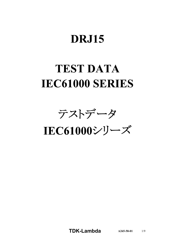# **DRJ15**

# **TEST DATA IEC61000 SERIES**

テストデータ

IEC61000シリーズ

**TDKLambda A2655801** 1/9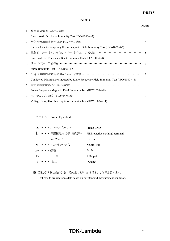# *RWS 50B600B Series* **DRJ15**

#### **INDEX**

|                                  |                                                                                      | <b>PAGE</b>   |
|----------------------------------|--------------------------------------------------------------------------------------|---------------|
|                                  | 1. 静電気放電イミュニティ試験 ……………………………………………………………                                             | $\mathcal{R}$ |
|                                  | Electrostatic Discharge Immunity Test (IEC61000-4-2)                                 |               |
| 2.                               | 放射性無線周波数電磁界イミュニティ試験 ………………………………………………… 4                                            |               |
|                                  | Radiated Radio-Frequency Electromagnetic Field Immunity Test (IEC61000-4-3)          |               |
| 3 <sub>1</sub>                   | 電気的ファーストトランジェントバーストイミュニティ試験 …………………………………                                            | $\varsigma$   |
|                                  | Electrical Fast Transient / Burst Immunity Test (IEC61000-4-4)                       |               |
|                                  | 4. サージイミュニティ試験 ……………………………………………………………                                               | 6             |
|                                  | Surge Immunity Test (IEC61000-4-5)                                                   |               |
| 5.                               | 伝導性無線周波数電磁界イミュニティ試験 ………………………………………………                                               | 7             |
|                                  | Conducted Disturbances Induced by Radio-Frequency Field Immunity Test (IEC61000-4-6) |               |
| 6.                               | 電力周波数磁界イミュニティ試験 ………………………………………………………                                                | 8             |
|                                  | Power Frequency Magnetic Field Immunity Test (IEC61000-4-8)                          |               |
| $7_{\scriptscriptstyle{\ddots}}$ | 電圧ディップ、瞬停イミュニティ試験 ……………………………………………………                                               | 9             |
|                                  | Voltage Dips, Short Interruptions Immunity Test (IEC61000-4-11)                      |               |

使用記号 Terminology Used

|                     | FG …… フレームグラウンド             | Frame GND                        |
|---------------------|-----------------------------|----------------------------------|
|                     | (╧) ・・・・・・・ 保護接地用端子(PE端子) ― | PE(Protective earthing) terminal |
|                     | I. ・・・・・・・ ライブライン           | Live line                        |
|                     | N …… ニュートラルライン              | Neutral line                     |
| <del>,, ……</del> 接地 |                             | Earth                            |
| $+V$ + $HH$         |                             | $+$ Output                       |
| -V …… - 出力          |                             | - Output                         |

※ 当社標準測定条件における結果であり、参考値としてお考え願います。

Test results are reference data based on our standard measurement condition.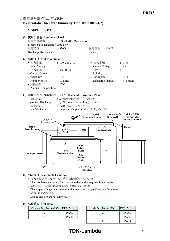## **1. Electrostatic Discharge Immunity Test (IEC6100042)**

**MODEL : DRJ15**



#### **(4) Acceptable Conditions**

1.入力再投入を必要とする一時的な機能低下のない事 Must not have temporary function degradation that requires input restart. 2.試験後の出力電圧は初期値から変動していない事

The output voltage must be within the regulation of specification after the test.

3.発煙・発火のない事

Smoke and fire are not allowed.

#### **(5) Test Result**

| Contact Discharge (kV) | $ DRJ15-24-1 $ | Air Discharge(kV) |
|------------------------|----------------|-------------------|
|                        | <b>PASS</b>    |                   |
|                        | <b>PASS</b>    |                   |

| DRJ15-24-11 | Air Discharge(kV) | DRJ15-24-1  |
|-------------|-------------------|-------------|
| <b>PASS</b> |                   | <b>PASS</b> |
| <b>PASS</b> |                   | <b>PASS</b> |
|             |                   | <b>PASS</b> |

# **TDK-Lambda** 3/9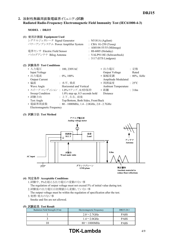## 2. 放射性無線周波数電磁界イミュニティ試験 **Radiated RadioFrequency Electromagnetic Field Immunity Test (IEC6100043)**

**MODEL : DRJ15**

| (1) | 使用計測器 Equipment Used              |                           |
|-----|-----------------------------------|---------------------------|
|     | シグナルジェネレータ Signal Generator       | : N5181A (Agilent)        |
|     | パワーアンプシステム Power Amplifier System | : CBA $1G-250$ (Teseq)    |
|     |                                   | : AS0104-55/55 (Milmega)  |
|     | 電界センサ Electric Field Sensor       | : HI-6005 (Holaday)       |
|     | バイログアンテナ Bilog Antenna            | : VALP9118E (Schwarzbeck) |
|     |                                   | $: 3117$ (ETS Lindgren)   |
|     |                                   |                           |

| (2) 試験条件 Test Conditions        |                                                     |                            |                          |
|---------------------------------|-----------------------------------------------------|----------------------------|--------------------------|
| • 入力電圧                          | $: 100, 230$ VAC                                    | • 出力電圧                     | : 定格                     |
| Input Voltage                   |                                                     | Output Voltage             | Rated                    |
| • 出力電流                          | $: 0\%, 100\%$                                      | • 振幅変調                     | $: 80\%, 1kHz$           |
| <b>Output Current</b>           |                                                     | Amplitude Modulated        |                          |
| • 偏波                            | : 水平、垂直                                             | • 周囲温度                     | $\div$ 25 <sup>o</sup> C |
| Wave Angle                      | Horizontal and Vertical                             | <b>Ambient Temperature</b> |                          |
| • スイープ·コンディション: 1.0%ステップ、0.5秒保持 |                                                     | • 距離                       | $\therefore$ 3.0m        |
| Sweep Condition                 | $1.0\%$ step up, 0.5 seconds hold                   | <b>Distance</b>            |                          |
| • 試験方向                          | : 上下、左右、前後                                          |                            |                          |
| Test Angle                      | Top/Bottom, Both Sides, Front/Back                  |                            |                          |
| • 電磁界周波数                        | : $80 - 1000$ MHz, $1.4 - 2.0$ GHz, $2.0 - 2.7$ GHz |                            |                          |
| Electromagnetic Frequency       |                                                     |                            |                          |

#### **(3) Test Method**



#### **(4) Acceptable Conditions**

- 1.試験中、5%を超える出力電圧の変動のない事 The regulation of output voltage must not exceed 5% of initial value during test. 2.試験後の出力電圧は初期値から変動していない事
- The output voltage must be within the regulation of specification after the test. 3.発煙・発火のない事
- Smoke and fire are not allowed.

#### **(5) Test Result**

| Radiation Field Strength (V/m) | Electromagnetic Frequency | DRJ15-24-1  |  |  |  |  |
|--------------------------------|---------------------------|-------------|--|--|--|--|
|                                | $2.0 \sim 2.7$ GHz        | <b>PASS</b> |  |  |  |  |
|                                | $1.4\sim2.0$ GHz          | <b>PASS</b> |  |  |  |  |
|                                | $80\sim1000$ MHz          | PASS        |  |  |  |  |

# **TDK-Lambda** 4/9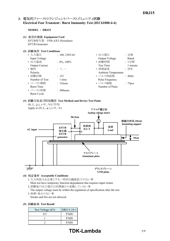## 3. 電気的ファーストトランジェントバーストイミュニティ試験 **Electrical Fast Transient / Burst Immunity Test (IEC6100044)**

#### **MODEL : DRJ15**

- **(1) Equipment Used** EFT/B発生器 : FNSAX3 (Noiseken) EFT/B Generator
- **(2) Test Conditions**

| • 入力電圧                | : $100, 230 \text{VAC}$ | : 定格<br>• 出力電圧                     |
|-----------------------|-------------------------|------------------------------------|
| Input Voltage         |                         | Output Voltage<br>Rated            |
| • 出力電流                | $: 0\%, 100\%$          | • 試験時間<br>:1分間                     |
| <b>Output Current</b> |                         | 1 minute<br><b>Test Time</b>       |
| • 極性                  | $: +, -$                | • 周囲温度<br>$\div$ 25 <sup>o</sup> C |
| Polarity              |                         | <b>Ambient Temperature</b>         |
| • 試験回数                | : 1回                    | • パルス周波数<br>: 5kHz                 |
| Number of Test        | 1 time                  | Pulse Frequency                    |
| • バースト期間              | $: 15$ msec             | • パルス個数<br>: 75 <sub>pcs</sub>     |
| <b>Burst Time</b>     |                         | Number of Pulse                    |
| • バースト周期              | $\therefore$ 300 msec   |                                    |
| <b>Burst Cycle</b>    |                         |                                    |

# **(3) Test Method and Device Test Point**



**(4) Acceptable Conditions**

1.入力再投入を必要とする一時的な機能低下のない事 Must not have temporary function degradation that requires input restart.

- 2.試験後の出力電圧は初期値から変動していない事 The output voltage must be within the regulation of specification after the test.
- 3.発煙・発火のない事 Smoke and fire are not allowed.
- **(5) Test Result**

| Test Voltage (kV) | DRJ15-24-1  |
|-------------------|-------------|
| 0.5               | <b>PASS</b> |
|                   | <b>PASS</b> |
|                   | <b>PASS</b> |

# **TDK-Lambda** 5/9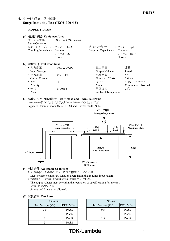## **4. Surge Immunity Test (IEC6100045)**

**MODEL : DRJ15**

| (1) 使用計測器 Equipment Used<br>サージ発生器 : LSS-15AX (Noiseken)<br>Surge Generator<br>結合インピーダンス : コモン 12 $\Omega$<br>Coupling Impedance Common<br>ノーマル 20<br>Normal                                   | 結合コンデンサー : コモン<br>$9\mu F$<br>Coupling Capacitance Common<br>ノーマル 18uF<br>Normal                                                                                                              |
|------------------------------------------------------------------------------------------------------------------------------------------------------------------------------------------------|-----------------------------------------------------------------------------------------------------------------------------------------------------------------------------------------------|
| (2) 試験条件 Test Conditions<br>• 入力電圧<br>$: 100, 230$ VAC<br>Input Voltage<br>• 出力電流<br>$: 0\%$ , 100%<br><b>Output Current</b><br>• 極性<br>$: +, -$<br>Polarity<br>• 位相<br>$: 0, 90$ deg<br>Phase | • 出力電圧<br>: 定格<br>Output Voltage<br>Rated<br>• 試験回数<br>: 5回<br>Number of Tests<br>5 times<br>• モード<br>: コモン、ノーマル<br>Mode<br>Common and Normal<br>• 周囲温度<br>$\div$ 25°C<br>Ambient Temperature |

**(3) Test Method and Device Test Point** コモンモード (N-(4), L-(4) 及びノーマルモード (N-L) に印加 Apply to Common mode  $(N-\textcircled{L}, L-\textcircled{L})$  and Normal mode  $(N-L)$ .



- **(4) Acceptable Conditions**
	- 1.入力再投入を必要とする一時的な機能低下のない事 Must not have temporary function degradation that requires input restart.
	-
	- 2.試験後の出力電圧は初期値から変動していない事
	- The output voltage must be within the regulation of specification after the test. 3.発煙・発火のない事
	- Smoke and fire are not allowed.

|  | (5) 試験結果 Test Result |  |  |
|--|----------------------|--|--|
|--|----------------------|--|--|

| Common            | Norm        |                   |
|-------------------|-------------|-------------------|
| Test Voltage (kV) | DRJ15-24-1  | Test Voltage (kV) |
| 0.5               | <b>PASS</b> | 0.5               |
|                   | <b>PASS</b> |                   |
|                   | <b>PASS</b> |                   |
|                   | <b>PASS</b> |                   |

|             | Normal            |             |
|-------------|-------------------|-------------|
| DRJ15-24-11 | Test Voltage (kV) | DRJ15-24-1  |
| <b>PASS</b> | 05                | <b>PASS</b> |
| <b>PASS</b> |                   | <b>PASS</b> |
| <b>PASS</b> |                   | <b>PASS</b> |
|             |                   |             |

# **TDK-Lambda** 6/9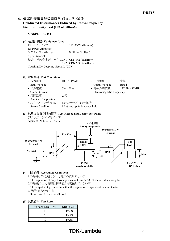## 5. 伝導性無線周波数電磁界イミュニティ試験 **Conducted Disturbances Induced by RadioFrequency** Field Immunity Test (IEC61000-4-6)

**MODEL : DRJ15**

**(1) Equipment Used**

RF パワーアンプ : 116FC-CE (Kalmus) RF Power Amplifier シグナルジェネレータ : N5181A (Agilent) Signal Generator 結合/減結合ネットワーク CDN1 : CDN M2 (Schaffner), CDN2 : CDN M3 (Schaffner) Coupling De-Coupling Network (CDN)

#### **(2) Test Conditions**

| • 入力電圧                     | : $100, 230 \text{VAC}$           | • 出力電圧                    | : 定格               |
|----------------------------|-----------------------------------|---------------------------|--------------------|
| Input Voltage              |                                   | Output Voltage            | Rated              |
| • 出力電流                     | $: 0\%, 100\%$                    | • 電磁界周波数                  | $: 150kHz - 80MHz$ |
| <b>Output Current</b>      |                                   | Electromagnetic Frequency |                    |
| • 周囲温度                     | $\cdot$ 25°C                      |                           |                    |
| <b>Ambient Temperature</b> |                                   |                           |                    |
|                            | • スイープ・コンディション : 1.0%ステップ、0.5秒保持  |                           |                    |
| Sweep Condition            | $1.0\%$ step up, 0.5 seconds hold |                           |                    |
|                            |                                   |                           |                    |

### **(3) Test Method and Device Test Point** (N, L, 4)、(+V, -V)に印加



#### **(4) Acceptable Conditions**

- 1.試験中、5%を超える出力電圧の変動のない事
- The regulation of output voltage must not exceed 5% of initial value during test.
- 2.試験後の出力電圧は初期値から変動していない事

The output voltage must be within the regulation of specification after the test. 3.発煙・発火のない事

Smoke and fire are not allowed.

#### **(5) Test Result**

| Voltage Level (V) | DRJ15-24-1  |
|-------------------|-------------|
|                   | <b>PASS</b> |
|                   | <b>PASS</b> |
| 1 ()              | <b>PASS</b> |

# **TDK-Lambda** 7/9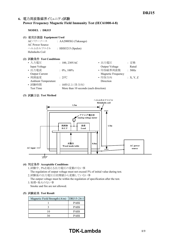## 6. 電力周波数磁界イミュニティ試験 **Power Frequency Magnetic Field Immunity Test (IEC6100048)**

#### **MODEL : DRJ15**

- **(1) Equipment Used**
	- ACパワーソース : AA2000XG (Takasago) AC Power Source ヘルムホルツコイル : HHS5215 (Spulen) Helmholts Coil

#### **(2) Test Conditions**

| : $100, 230 \text{VAC}$ | • 出力電圧             | : 定格                                  |
|-------------------------|--------------------|---------------------------------------|
|                         | Output Voltage     | Rated                                 |
| $: 0\%, 100\%$          | • 印加磁界周波数          | : 50Hz                                |
|                         | Magnetic Frequency |                                       |
| $\div$ 25°C             | • 印加方向             | :X, Y, Z                              |
|                         | Direction          |                                       |
| : 10秒以上(各方向)            |                    |                                       |
|                         |                    |                                       |
|                         |                    | More than 10 seconds (each direction) |

#### **(3) Test Method**



#### **(4) Acceptable Conditions**

1.試験中、5%を超える出力電圧の変動のない事

The regulation of output voltage must not exceed 5% of initial value during test. 2.試験後の出力電圧は初期値から変動していない事

The output voltage must be within the regulation of specification after the test. 3.発煙・発火のない事

Smoke and fire are not allowed.

#### **(5) Test Result**

| Magnetic Field Strength $(A/m)$ | DRJ15-24-1  |
|---------------------------------|-------------|
|                                 | <b>PASS</b> |
|                                 | <b>PASS</b> |
| 10                              | <b>PASS</b> |
|                                 | <b>PASS</b> |

# **TDK-Lambda** 8/9